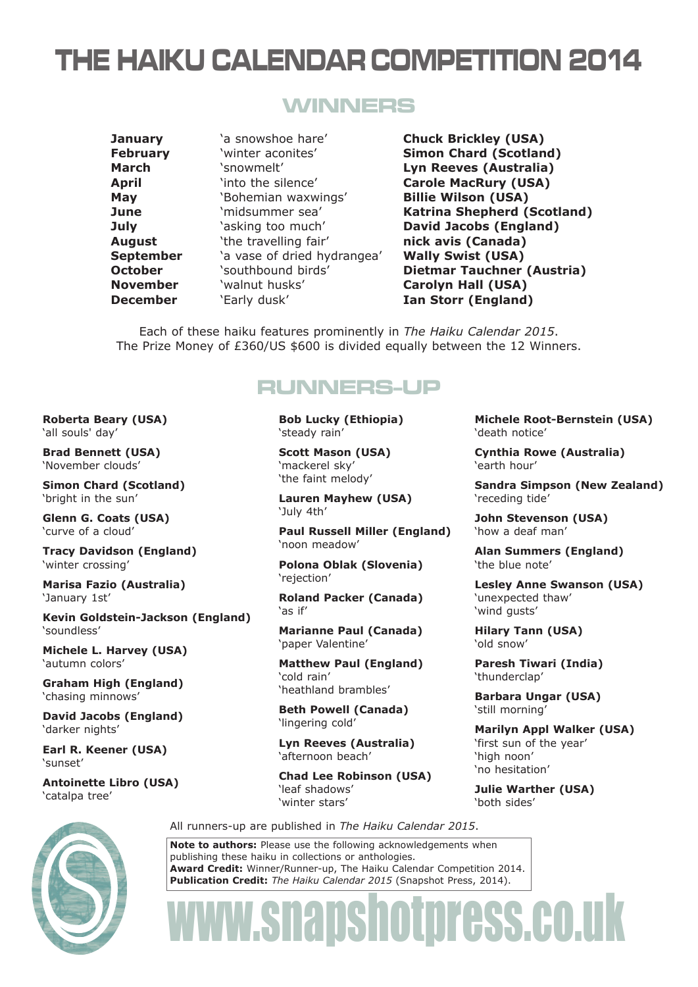# THE HAIKU CALENDAR COMPETITION 2014

### WINNERS

**February** 'winter aconites' **Simon Chard (Scotland) March** 'snowmelt' **Lyn Reeves (Australia) April** 'into the silence' **Carole MacRury (USA) May** 'Bohemian waxwings' **Billie Wilson (USA) July** 'asking too much' **David Jacobs (England) August** 'the travelling fair' **nick avis (Canada) September** 'a vase of dried hydrangea' **Wally Swist (USA) November** 'walnut husks' **Carolyn Hall (USA) December** 'Early dusk' **Ian Storr (England)** 

**January** 'a snowshoe hare' **Chuck Brickley (USA) June** 'midsummer sea' **Katrina Shepherd (Scotland) October Southbound birds' Dietmar Tauchner (Austria)** 

Each of these haiku features prominently in *The Haiku Calendar 2015*. The Prize Money of £360/US \$600 is divided equally between the 12 Winners.

## RUNNERS-UP

**Bob Lucky (Ethiopia)** 'steady rain'

**Scott Mason (USA)** 'mackerel sky' 'the faint melody'

**Lauren Mayhew (USA)** 'July 4th'

**Paul Russell Miller (England)** 'noon meadow'

**Polona Oblak (Slovenia)** 'rejection'

**Roland Packer (Canada)** 'as if'

**Marianne Paul (Canada)** 'paper Valentine'

**Matthew Paul (England)** 'cold rain' 'heathland brambles'

**Beth Powell (Canada)** 'lingering cold'

**Lyn Reeves (Australia)** 'afternoon beach'

**Chad Lee Robinson (USA)** 'leaf shadows' 'winter stars'

**Michele Root-Bernstein (USA)** 'death notice'

**Cynthia Rowe (Australia)** 'earth hour'

**Sandra Simpson (New Zealand)** 'receding tide'

**John Stevenson (USA)** 'how a deaf man'

**Alan Summers (England)** 'the blue note'

**Lesley Anne Swanson (USA)** 'unexpected thaw' 'wind gusts'

**Hilary Tann (USA)** 'old snow'

**Paresh Tiwari (India)** 'thunderclap'

**Barbara Ungar (USA)** 'still morning'

**Marilyn Appl Walker (USA)** 'first sun of the year' 'high noon' 'no hesitation'

**Julie Warther (USA)** 'both sides'

All runners-up are published in *The Haiku Calendar 2015*.

**Note to authors:** Please use the following acknowledgements when publishing these haiku in collections or anthologies. **Award Credit:** Winner/Runner-up, The Haiku Calendar Competition 2014. **Publication Credit:** *The Haiku Calendar 2015* (Snapshot Press, 2014).

# www.snapshotpress.co.uk

#### **Roberta Beary (USA)** 'all souls' day'

**Brad Bennett (USA)** 'November clouds'

**Simon Chard (Scotland)** 'bright in the sun'

**Glenn G. Coats (USA)** 'curve of a cloud'

**Tracy Davidson (England)** 'winter crossing'

**Marisa Fazio (Australia)** 'January 1st'

**Kevin Goldstein-Jackson (England)** 'soundless'

**Michele L. Harvey (USA)** 'autumn colors'

**Graham High (England)** 'chasing minnows'

**David Jacobs (England)** 'darker nights'

**Earl R. Keener (USA)** 'sunset'

**Antoinette Libro (USA)** 'catalpa tree'